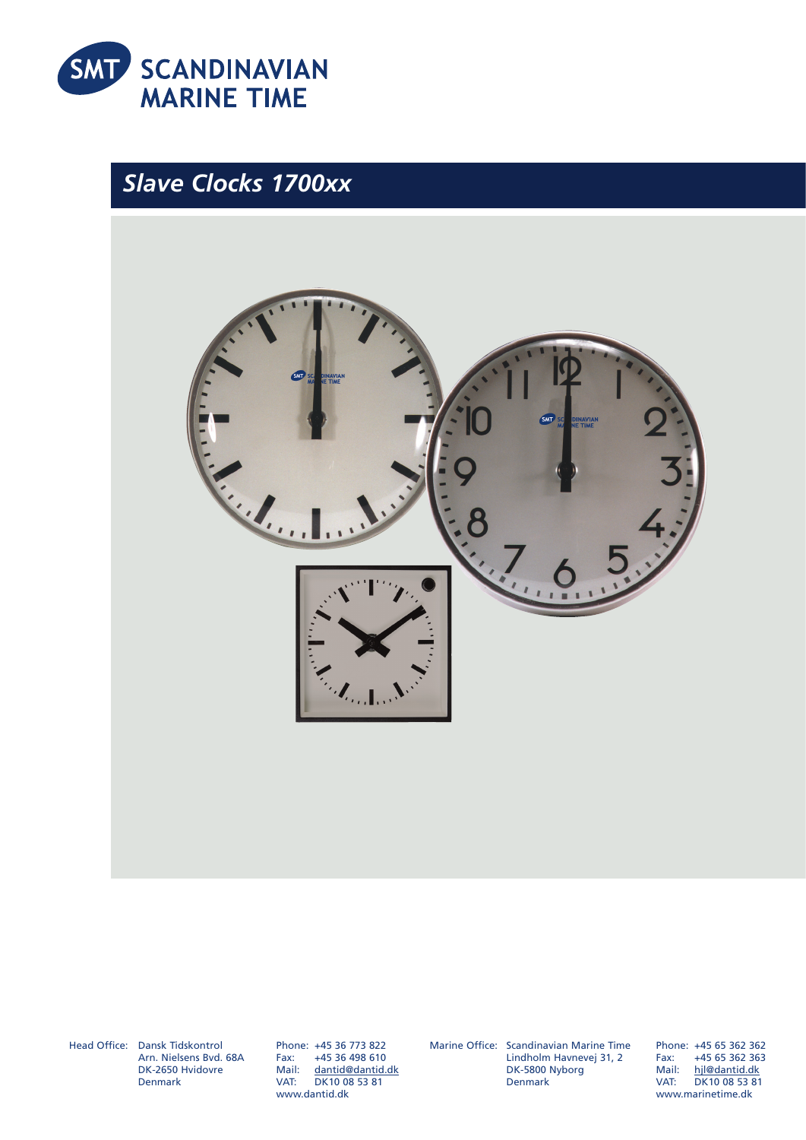

## *Slave Clocks 1700xx*



Head Office: Dansk Tidskontrol Arn. Nielsens Bvd. 68A DK-2650 Hvidovre Denmark

Phone: +45 36 773 822 +45 36 498 610 Mail: dantid@dantid.dk VAT: DK10 08 53 81 www.dantid.dk

Marine Office: Scandinavian Marine Time Lindholm Havnevej 31, 2 DK-5800 Nyborg Denmark

Phone: +45 65 362 362<br>Fax: +45 65 362 363 Fax: +45 65 362 363 Mail: hjl@dantid.dk VAT: DK10 08 53 81 www.marinetime.dk